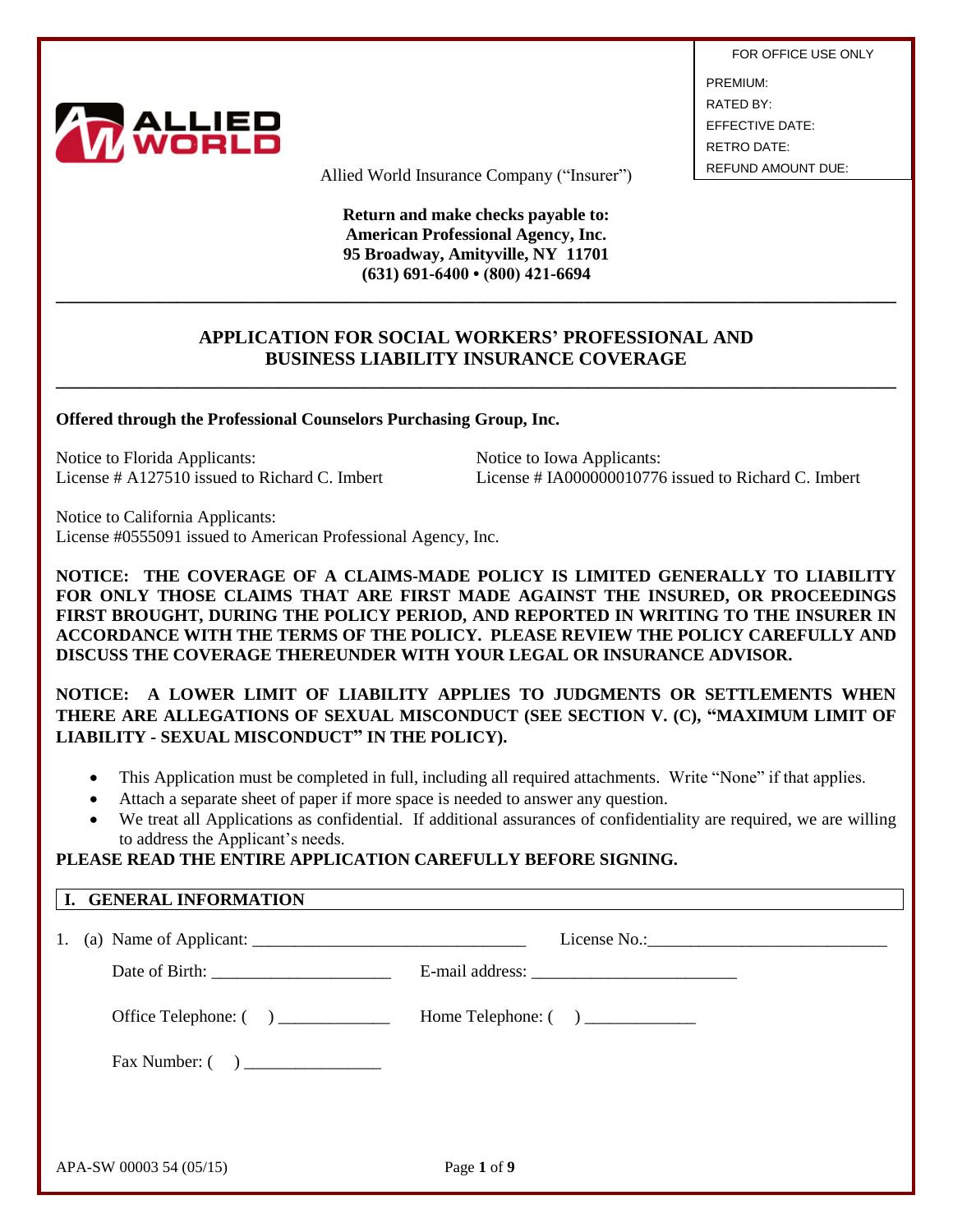

FOR OFFICE USE ONLY PREMIUM: RATED BY: EFFECTIVE DATE: RETRO DATE:

Allied World Insurance Company ("Insurer") REFUND AMOUNT DUE:

**Return and make checks payable to: American Professional Agency, Inc. 95 Broadway, Amityville, NY 11701 (631) 691-6400 • (800) 421-6694**

# **APPLICATION FOR SOCIAL WORKERS' PROFESSIONAL AND BUSINESS LIABILITY INSURANCE COVERAGE**

**\_\_\_\_\_\_\_\_\_\_\_\_\_\_\_\_\_\_\_\_\_\_\_\_\_\_\_\_\_\_\_\_\_\_\_\_\_\_\_\_\_\_\_\_\_\_\_\_\_\_\_\_\_\_\_\_\_\_\_\_\_\_\_\_\_\_\_\_\_\_\_\_\_\_\_\_\_\_\_\_\_\_\_\_\_\_\_\_\_\_**

**\_\_\_\_\_\_\_\_\_\_\_\_\_\_\_\_\_\_\_\_\_\_\_\_\_\_\_\_\_\_\_\_\_\_\_\_\_\_\_\_\_\_\_\_\_\_\_\_\_\_\_\_\_\_\_\_\_\_\_\_\_\_\_\_\_\_\_\_\_\_\_\_\_\_\_\_\_\_\_\_\_\_\_\_\_\_\_\_\_\_**

**Offered through the Professional Counselors Purchasing Group, Inc.**

Notice to Florida Applicants: Notice to Iowa Applicants:

License # A127510 issued to Richard C. Imbert License # IA000000010776 issued to Richard C. Imbert

Notice to California Applicants: License #0555091 issued to American Professional Agency, Inc.

**NOTICE: THE COVERAGE OF A CLAIMS-MADE POLICY IS LIMITED GENERALLY TO LIABILITY FOR ONLY THOSE CLAIMS THAT ARE FIRST MADE AGAINST THE INSURED, OR PROCEEDINGS FIRST BROUGHT, DURING THE POLICY PERIOD, AND REPORTED IN WRITING TO THE INSURER IN ACCORDANCE WITH THE TERMS OF THE POLICY. PLEASE REVIEW THE POLICY CAREFULLY AND DISCUSS THE COVERAGE THEREUNDER WITH YOUR LEGAL OR INSURANCE ADVISOR.** 

**NOTICE: A LOWER LIMIT OF LIABILITY APPLIES TO JUDGMENTS OR SETTLEMENTS WHEN THERE ARE ALLEGATIONS OF SEXUAL MISCONDUCT (SEE SECTION V. (C), "MAXIMUM LIMIT OF LIABILITY - SEXUAL MISCONDUCT" IN THE POLICY).**

- This Application must be completed in full, including all required attachments. Write "None" if that applies.
- Attach a separate sheet of paper if more space is needed to answer any question.
- We treat all Applications as confidential. If additional assurances of confidentiality are required, we are willing to address the Applicant's needs.

# **PLEASE READ THE ENTIRE APPLICATION CAREFULLY BEFORE SIGNING.**

| I. GENERAL INFORMATION       |             |
|------------------------------|-------------|
|                              |             |
| Date of Birth: $\frac{1}{2}$ |             |
| Office Telephone: ()         |             |
|                              |             |
|                              |             |
|                              |             |
| APA-SW 00003 54 (05/15)      | Page 1 of 9 |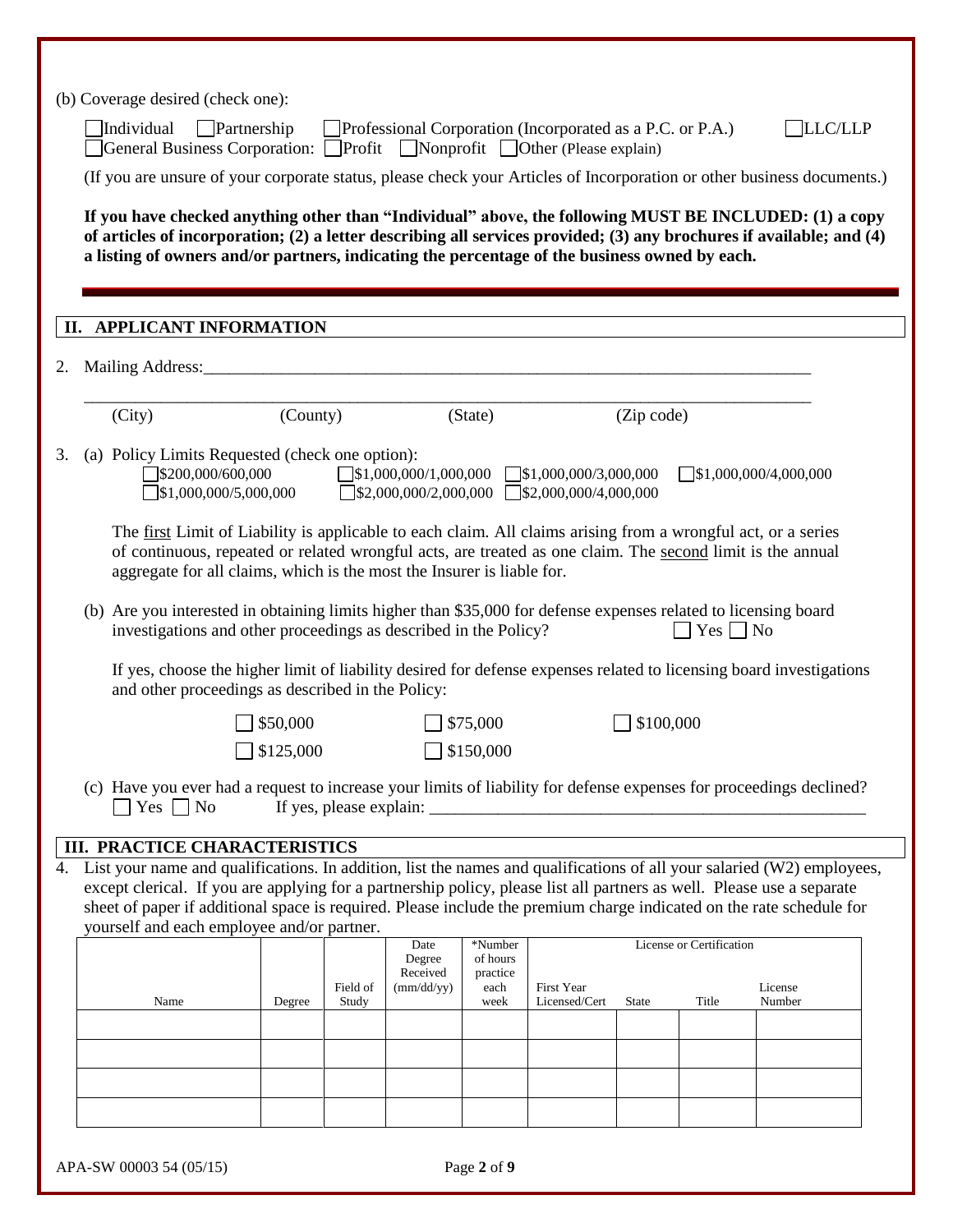|    | (b) Coverage desired (check one):                                                                                                                                                                                                                                                                                                                                                                                         |           |                   |                                          |                                                 |                                                                                               |              |                                   |                              |  |
|----|---------------------------------------------------------------------------------------------------------------------------------------------------------------------------------------------------------------------------------------------------------------------------------------------------------------------------------------------------------------------------------------------------------------------------|-----------|-------------------|------------------------------------------|-------------------------------------------------|-----------------------------------------------------------------------------------------------|--------------|-----------------------------------|------------------------------|--|
|    | Individual<br>Partnership<br>General Business Corporation: Profit Nonprofit Other (Please explain)                                                                                                                                                                                                                                                                                                                        |           |                   |                                          |                                                 | Professional Corporation (Incorporated as a P.C. or P.A.)                                     |              |                                   | LLC/LLP                      |  |
|    | (If you are unsure of your corporate status, please check your Articles of Incorporation or other business documents.)                                                                                                                                                                                                                                                                                                    |           |                   |                                          |                                                 |                                                                                               |              |                                   |                              |  |
|    | If you have checked anything other than "Individual" above, the following MUST BE INCLUDED: (1) a copy<br>of articles of incorporation; (2) a letter describing all services provided; (3) any brochures if available; and (4)<br>a listing of owners and/or partners, indicating the percentage of the business owned by each.                                                                                           |           |                   |                                          |                                                 |                                                                                               |              |                                   |                              |  |
|    | II. APPLICANT INFORMATION                                                                                                                                                                                                                                                                                                                                                                                                 |           |                   |                                          |                                                 |                                                                                               |              |                                   |                              |  |
| 2. | Mailing Address:                                                                                                                                                                                                                                                                                                                                                                                                          |           |                   |                                          |                                                 |                                                                                               |              |                                   |                              |  |
|    | (City)                                                                                                                                                                                                                                                                                                                                                                                                                    | (County)  |                   |                                          | (State)                                         |                                                                                               | (Zip code)   |                                   |                              |  |
| 3. | (a) Policy Limits Requested (check one option):<br>3200,000/600,000<br>$\exists$ \$1,000,000/5,000,000                                                                                                                                                                                                                                                                                                                    |           |                   | $\Box$ \$1,000,000/1,000,000             |                                                 | $\Box$ \$1,000,000/3,000,000<br>$\Box$ \$2,000,000/2,000,000 $\Box$ \$2,000,000/4,000,000     |              |                                   | $\Box$ \$1,000,000/4,000,000 |  |
|    | The first Limit of Liability is applicable to each claim. All claims arising from a wrongful act, or a series<br>of continuous, repeated or related wrongful acts, are treated as one claim. The second limit is the annual<br>aggregate for all claims, which is the most the Insurer is liable for.<br>(b) Are you interested in obtaining limits higher than \$35,000 for defense expenses related to licensing board  |           |                   |                                          |                                                 |                                                                                               |              |                                   |                              |  |
|    | investigations and other proceedings as described in the Policy?                                                                                                                                                                                                                                                                                                                                                          |           |                   |                                          |                                                 |                                                                                               |              | $Yes \nightharpoonup No$          |                              |  |
|    | If yes, choose the higher limit of liability desired for defense expenses related to licensing board investigations<br>and other proceedings as described in the Policy:                                                                                                                                                                                                                                                  |           |                   |                                          |                                                 |                                                                                               |              |                                   |                              |  |
|    |                                                                                                                                                                                                                                                                                                                                                                                                                           | \$50,000  |                   |                                          | \$75,000                                        |                                                                                               | \$100,000    |                                   |                              |  |
|    |                                                                                                                                                                                                                                                                                                                                                                                                                           | \$125,000 |                   |                                          | \$150,000                                       |                                                                                               |              |                                   |                              |  |
|    | (c) Have you ever had a request to increase your limits of liability for defense expenses for proceedings declined?<br>$Yes \nightharpoonup No$                                                                                                                                                                                                                                                                           |           |                   |                                          |                                                 | If yes, please explain: $\frac{1}{\sqrt{1-\frac{1}{2}} \cdot \frac{1}{\sqrt{1-\frac{1}{2}}}}$ |              |                                   |                              |  |
|    | <b>III. PRACTICE CHARACTERISTICS</b>                                                                                                                                                                                                                                                                                                                                                                                      |           |                   |                                          |                                                 |                                                                                               |              |                                   |                              |  |
|    | 4. List your name and qualifications. In addition, list the names and qualifications of all your salaried (W2) employees,<br>except clerical. If you are applying for a partnership policy, please list all partners as well. Please use a separate<br>sheet of paper if additional space is required. Please include the premium charge indicated on the rate schedule for<br>yourself and each employee and/or partner. |           |                   |                                          |                                                 |                                                                                               |              |                                   |                              |  |
|    | Name                                                                                                                                                                                                                                                                                                                                                                                                                      | Degree    | Field of<br>Study | Date<br>Degree<br>Received<br>(mm/dd/yy) | *Number<br>of hours<br>practice<br>each<br>week | First Year<br>Licensed/Cert                                                                   | <b>State</b> | License or Certification<br>Title | License<br>Number            |  |
|    |                                                                                                                                                                                                                                                                                                                                                                                                                           |           |                   |                                          |                                                 |                                                                                               |              |                                   |                              |  |
|    |                                                                                                                                                                                                                                                                                                                                                                                                                           |           |                   |                                          |                                                 |                                                                                               |              |                                   |                              |  |
|    |                                                                                                                                                                                                                                                                                                                                                                                                                           |           |                   |                                          |                                                 |                                                                                               |              |                                   |                              |  |
|    |                                                                                                                                                                                                                                                                                                                                                                                                                           |           |                   |                                          |                                                 |                                                                                               |              |                                   |                              |  |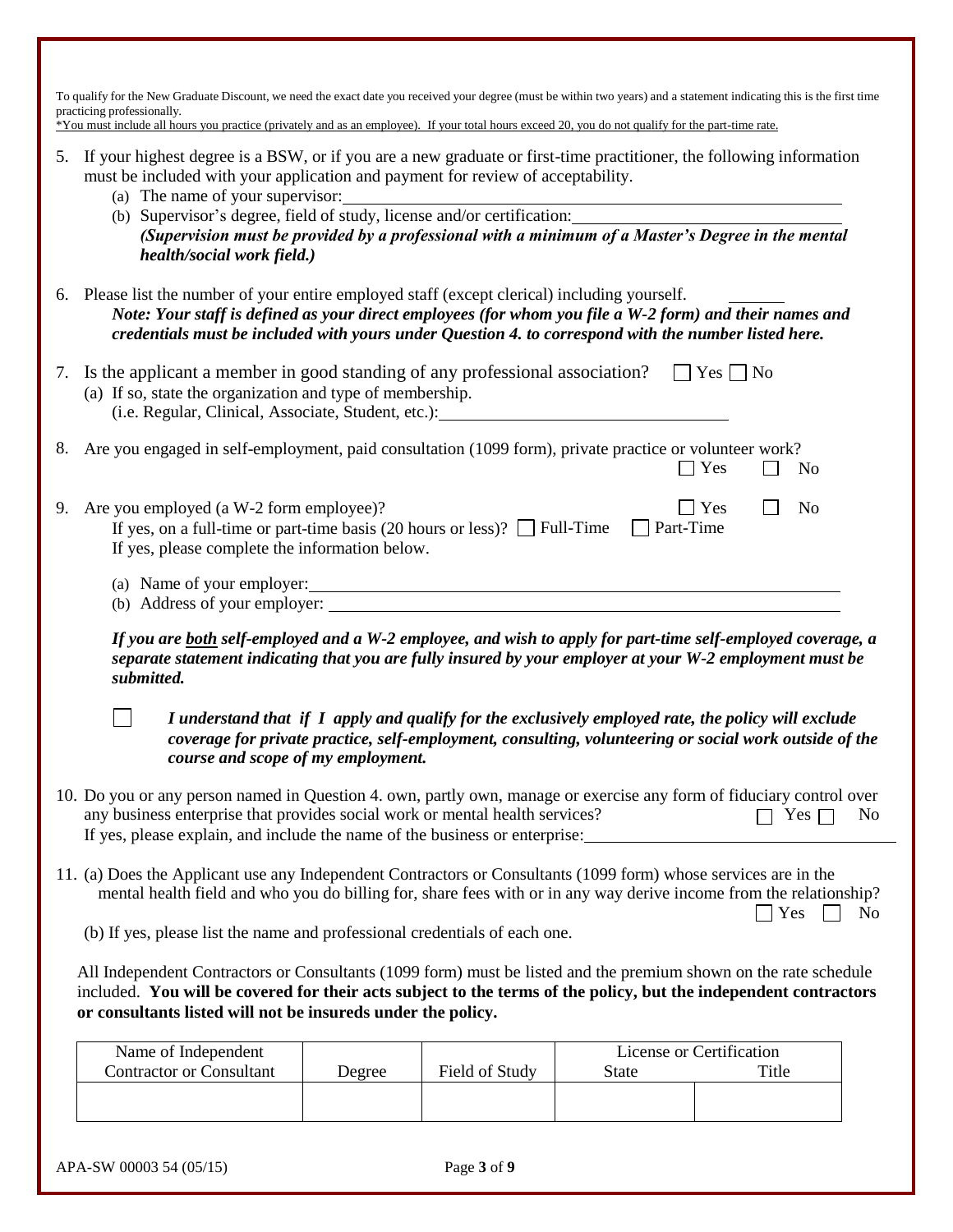To qualify for the New Graduate Discount, we need the exact date you received your degree (must be within two years) and a statement indicating this is the first time practicing professionally. \*You must include all hours you practice (privately and as an employee). If your total hours exceed 20, you do not qualify for the part-time rate. 5. If your highest degree is a BSW, or if you are a new graduate or first-time practitioner, the following information must be included with your application and payment for review of acceptability.

(a) The name of your supervisor: (b) Supervisor's degree, field of study, license and/or certification: *(Supervision must be provided by a professional with a minimum of a Master's Degree in the mental health/social work field.)* 6. Please list the number of your entire employed staff (except clerical) including yourself. *Note: Your staff is defined as your direct employees (for whom you file a W-2 form) and their names and credentials must be included with yours under Question 4. to correspond with the number listed here.* 7. Is the applicant a member in good standing of any professional association?  $\Box$  Yes  $\Box$  No (a) If so, state the organization and type of membership. (i.e. Regular, Clinical, Associate, Student, etc.): 8. Are you engaged in self-employment, paid consultation (1099 form), private practice or volunteer work?  $\Box$  Yes  $\Box$  No 9. Are you employed (a W-2 form employee)?  $\Box$  Yes  $\Box$  No If yes, on a full-time or part-time basis (20 hours or less)?  $\Box$  Full-Time  $\Box$  Part-Time If yes, please complete the information below. (a) Name of your employer: (b) Address of your employer: *If you are both self-employed and a W-2 employee, and wish to apply for part-time self-employed coverage, a separate statement indicating that you are fully insured by your employer at your W-2 employment must be submitted.*

 $\overline{\phantom{0}}$ *I understand that if I apply and qualify for the exclusively employed rate, the policy will exclude coverage for private practice, self-employment, consulting, volunteering or social work outside of the course and scope of my employment.*

- 10. Do you or any person named in Question 4. own, partly own, manage or exercise any form of fiduciary control over any business enterprise that provides social work or mental health services?  $\Box$  Yes  $\Box$  No If yes, please explain, and include the name of the business or enterprise:
- 11. (a) Does the Applicant use any Independent Contractors or Consultants (1099 form) whose services are in the mental health field and who you do billing for, share fees with or in any way derive income from the relationship?  $\Box$  Yes  $\Box$  No
	- (b) If yes, please list the name and professional credentials of each one.

All Independent Contractors or Consultants (1099 form) must be listed and the premium shown on the rate schedule included. **You will be covered for their acts subject to the terms of the policy, but the independent contractors or consultants listed will not be insureds under the policy.**

| Name of Independent             |        |                | License or Certification |       |  |
|---------------------------------|--------|----------------|--------------------------|-------|--|
| <b>Contractor or Consultant</b> | Degree | Field of Study | State                    | Title |  |
|                                 |        |                |                          |       |  |
|                                 |        |                |                          |       |  |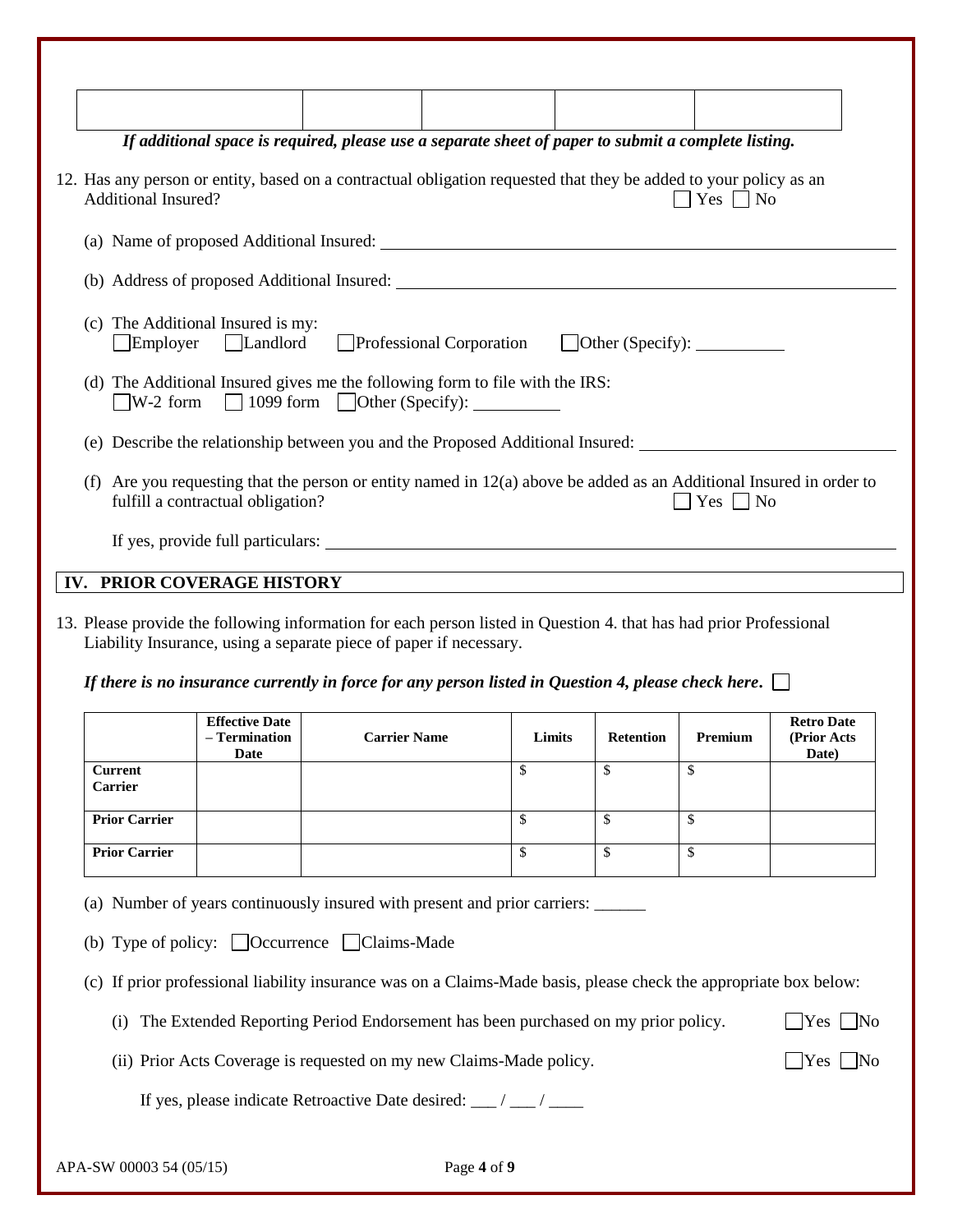|                                 |                                                          | If additional space is required, please use a separate sheet of paper to submit a complete listing.                                             |                                                                                                                    |                  |                                |                                                     |
|---------------------------------|----------------------------------------------------------|-------------------------------------------------------------------------------------------------------------------------------------------------|--------------------------------------------------------------------------------------------------------------------|------------------|--------------------------------|-----------------------------------------------------|
| <b>Additional Insured?</b>      |                                                          | 12. Has any person or entity, based on a contractual obligation requested that they be added to your policy as an                               |                                                                                                                    |                  | Yes $\Box$ No                  |                                                     |
|                                 |                                                          |                                                                                                                                                 |                                                                                                                    |                  |                                |                                                     |
|                                 |                                                          |                                                                                                                                                 |                                                                                                                    |                  |                                |                                                     |
| Employer                        | (c) The Additional Insured is my:<br>Landlord            | Professional Corporation                                                                                                                        |                                                                                                                    |                  | $\Box$ Other (Specify): $\Box$ |                                                     |
|                                 |                                                          | (d) The Additional Insured gives me the following form to file with the IRS:<br>$\Box$ W-2 form $\Box$ 1099 form $\Box$ Other (Specify): $\Box$ |                                                                                                                    |                  |                                |                                                     |
|                                 |                                                          | (e) Describe the relationship between you and the Proposed Additional Insured:                                                                  |                                                                                                                    |                  |                                |                                                     |
|                                 | fulfill a contractual obligation?                        | (f) Are you requesting that the person or entity named in $12(a)$ above be added as an Additional Insured in order to                           |                                                                                                                    |                  | $Yes \Box No$                  |                                                     |
|                                 |                                                          |                                                                                                                                                 |                                                                                                                    |                  |                                |                                                     |
|                                 | IV. PRIOR COVERAGE HISTORY                               |                                                                                                                                                 |                                                                                                                    |                  |                                |                                                     |
|                                 |                                                          | Liability Insurance, using a separate piece of paper if necessary.                                                                              | 13. Please provide the following information for each person listed in Question 4. that has had prior Professional |                  |                                |                                                     |
|                                 | <b>Effective Date</b><br>- Termination                   | If there is no insurance currently in force for any person listed in Question 4, please check here.<br><b>Carrier Name</b>                      | Limits                                                                                                             | <b>Retention</b> | Premium                        | <b>Retro Date</b><br>(Prior Acts)                   |
| <b>Current</b>                  | Date                                                     |                                                                                                                                                 |                                                                                                                    | \$               | \$                             | Date)                                               |
| Carrier<br><b>Prior Carrier</b> |                                                          |                                                                                                                                                 | \$                                                                                                                 | \$               | \$                             |                                                     |
| <b>Prior Carrier</b>            |                                                          |                                                                                                                                                 | \$                                                                                                                 | $\mathbb{S}$     | \$                             |                                                     |
|                                 | (b) Type of policy: $\Box$ Occurrence $\Box$ Claims-Made | (a) Number of years continuously insured with present and prior carriers: ______                                                                |                                                                                                                    |                  |                                |                                                     |
|                                 |                                                          | (c) If prior professional liability insurance was on a Claims-Made basis, please check the appropriate box below:                               |                                                                                                                    |                  |                                |                                                     |
|                                 |                                                          | (i) The Extended Reporting Period Endorsement has been purchased on my prior policy.                                                            |                                                                                                                    |                  |                                | $\bigcap$ Yes                                       |
|                                 |                                                          | (ii) Prior Acts Coverage is requested on my new Claims-Made policy.                                                                             |                                                                                                                    |                  |                                | $\overline{\phantom{a}}$ No<br>$\Box$ Yes $\Box$ No |
|                                 |                                                          | If yes, please indicate Retroactive Date desired: __/ __/ ___                                                                                   |                                                                                                                    |                  |                                |                                                     |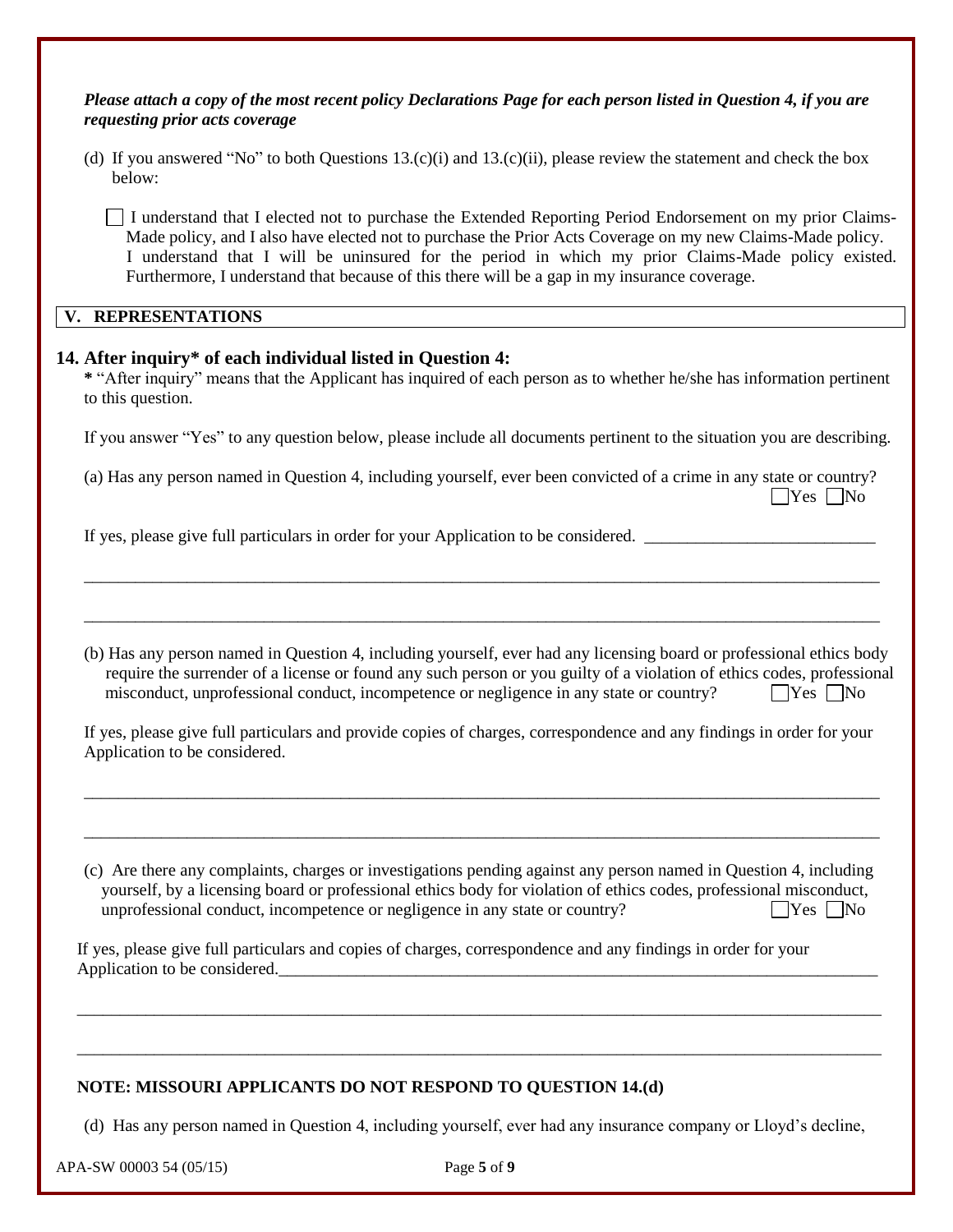*Please attach a copy of the most recent policy Declarations Page for each person listed in Question 4, if you are requesting prior acts coverage*

(d) If you answered "No" to both Questions  $13.(c)(i)$  and  $13.(c)(ii)$ , please review the statement and check the box below:

I understand that I elected not to purchase the Extended Reporting Period Endorsement on my prior Claims-Made policy, and I also have elected not to purchase the Prior Acts Coverage on my new Claims-Made policy. I understand that I will be uninsured for the period in which my prior Claims-Made policy existed. Furthermore, I understand that because of this there will be a gap in my insurance coverage.

## **V. REPRESENTATIONS**

#### **14. After inquiry\* of each individual listed in Question 4:**

| * "After inquiry" means that the Applicant has inquired of each person as to whether he/she has information pertinent |  |  |  |  |
|-----------------------------------------------------------------------------------------------------------------------|--|--|--|--|
| to this question.                                                                                                     |  |  |  |  |

If you answer "Yes" to any question below, please include all documents pertinent to the situation you are describing.

(a) Has any person named in Question 4, including yourself, ever been convicted of a crime in any state or country?  $\Box$ Yes  $\Box$ No

\_\_\_\_\_\_\_\_\_\_\_\_\_\_\_\_\_\_\_\_\_\_\_\_\_\_\_\_\_\_\_\_\_\_\_\_\_\_\_\_\_\_\_\_\_\_\_\_\_\_\_\_\_\_\_\_\_\_\_\_\_\_\_\_\_\_\_\_\_\_\_\_\_\_\_\_\_\_\_\_\_\_\_\_\_\_\_\_\_\_\_\_\_

\_\_\_\_\_\_\_\_\_\_\_\_\_\_\_\_\_\_\_\_\_\_\_\_\_\_\_\_\_\_\_\_\_\_\_\_\_\_\_\_\_\_\_\_\_\_\_\_\_\_\_\_\_\_\_\_\_\_\_\_\_\_\_\_\_\_\_\_\_\_\_\_\_\_\_\_\_\_\_\_\_\_\_\_\_\_\_\_\_\_\_\_\_

If yes, please give full particulars in order for your Application to be considered. \_\_\_\_\_\_\_\_\_\_\_\_\_\_\_\_\_\_\_\_\_\_\_\_\_

(b) Has any person named in Question 4, including yourself, ever had any licensing board or professional ethics body require the surrender of a license or found any such person or you guilty of a violation of ethics codes, professional misconduct, unprofessional conduct, incompetence or negligence in any state or country?  $\Box$  Yes  $\Box$  No

If yes, please give full particulars and provide copies of charges, correspondence and any findings in order for your Application to be considered.

\_\_\_\_\_\_\_\_\_\_\_\_\_\_\_\_\_\_\_\_\_\_\_\_\_\_\_\_\_\_\_\_\_\_\_\_\_\_\_\_\_\_\_\_\_\_\_\_\_\_\_\_\_\_\_\_\_\_\_\_\_\_\_\_\_\_\_\_\_\_\_\_\_\_\_\_\_\_\_\_\_\_\_\_\_\_\_\_\_\_\_\_\_

\_\_\_\_\_\_\_\_\_\_\_\_\_\_\_\_\_\_\_\_\_\_\_\_\_\_\_\_\_\_\_\_\_\_\_\_\_\_\_\_\_\_\_\_\_\_\_\_\_\_\_\_\_\_\_\_\_\_\_\_\_\_\_\_\_\_\_\_\_\_\_\_\_\_\_\_\_\_\_\_\_\_\_\_\_\_\_\_\_\_\_\_\_

(c) Are there any complaints, charges or investigations pending against any person named in Question 4, including yourself, by a licensing board or professional ethics body for violation of ethics codes, professional misconduct, unprofessional conduct, incompetence or negligence in any state or country?  $\Box$  Yes  $\Box$  No

\_\_\_\_\_\_\_\_\_\_\_\_\_\_\_\_\_\_\_\_\_\_\_\_\_\_\_\_\_\_\_\_\_\_\_\_\_\_\_\_\_\_\_\_\_\_\_\_\_\_\_\_\_\_\_\_\_\_\_\_\_\_\_\_\_\_\_\_\_\_\_\_\_\_\_\_\_\_\_\_\_\_\_\_\_\_\_\_\_\_\_\_\_\_

\_\_\_\_\_\_\_\_\_\_\_\_\_\_\_\_\_\_\_\_\_\_\_\_\_\_\_\_\_\_\_\_\_\_\_\_\_\_\_\_\_\_\_\_\_\_\_\_\_\_\_\_\_\_\_\_\_\_\_\_\_\_\_\_\_\_\_\_\_\_\_\_\_\_\_\_\_\_\_\_\_\_\_\_\_\_\_\_\_\_\_\_\_\_

If yes, please give full particulars and copies of charges, correspondence and any findings in order for your Application to be considered.

# **NOTE: MISSOURI APPLICANTS DO NOT RESPOND TO QUESTION 14.(d)**

(d) Has any person named in Question 4, including yourself, ever had any insurance company or Lloyd's decline,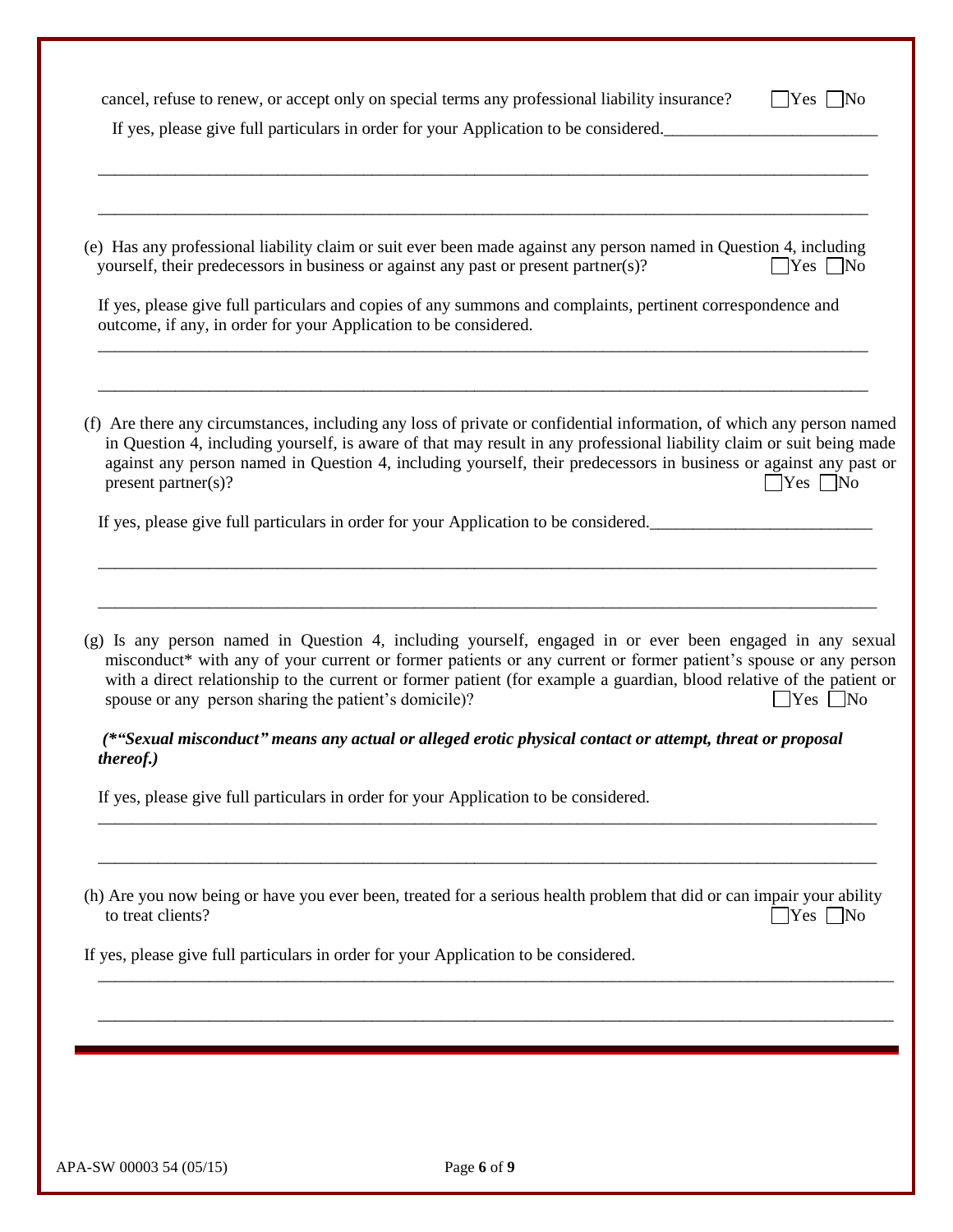| (e) Has any professional liability claim or suit ever been made against any person named in Question 4, including<br>yourself, their predecessors in business or against any past or present partner(s)? |                                                                                                                                                                                                                                                                                                                                                      | $Yes$ No                                         |
|----------------------------------------------------------------------------------------------------------------------------------------------------------------------------------------------------------|------------------------------------------------------------------------------------------------------------------------------------------------------------------------------------------------------------------------------------------------------------------------------------------------------------------------------------------------------|--------------------------------------------------|
| If yes, please give full particulars and copies of any summons and complaints, pertinent correspondence and<br>outcome, if any, in order for your Application to be considered.                          |                                                                                                                                                                                                                                                                                                                                                      |                                                  |
| (f) Are there any circumstances, including any loss of private or confidential information, of which any person named<br>present partner(s)?                                                             | in Question 4, including yourself, is aware of that may result in any professional liability claim or suit being made<br>against any person named in Question 4, including yourself, their predecessors in business or against any past or                                                                                                           | $\Box$ Yes $\Box$ No                             |
| If yes, please give full particulars in order for your Application to be considered.                                                                                                                     |                                                                                                                                                                                                                                                                                                                                                      |                                                  |
| (g) Is any person named in Question 4, including yourself, engaged in or ever been engaged in any sexual<br>spouse or any person sharing the patient's domicile)?<br>thereof.)                           | misconduct* with any of your current or former patients or any current or former patient's spouse or any person<br>with a direct relationship to the current or former patient (for example a guardian, blood relative of the patient or<br>(*"Sexual misconduct" means any actual or alleged erotic physical contact or attempt, threat or proposal | $\sqrt{\frac{1}{1}}$ Yes $\sqrt{\frac{1}{1}}$ No |
| If yes, please give full particulars in order for your Application to be considered.                                                                                                                     |                                                                                                                                                                                                                                                                                                                                                      |                                                  |
| (h) Are you now being or have you ever been, treated for a serious health problem that did or can impair your ability<br>to treat clients?                                                               |                                                                                                                                                                                                                                                                                                                                                      | $\gamma$ es $\Box$ No                            |
|                                                                                                                                                                                                          |                                                                                                                                                                                                                                                                                                                                                      |                                                  |
| If yes, please give full particulars in order for your Application to be considered.                                                                                                                     |                                                                                                                                                                                                                                                                                                                                                      |                                                  |
|                                                                                                                                                                                                          |                                                                                                                                                                                                                                                                                                                                                      |                                                  |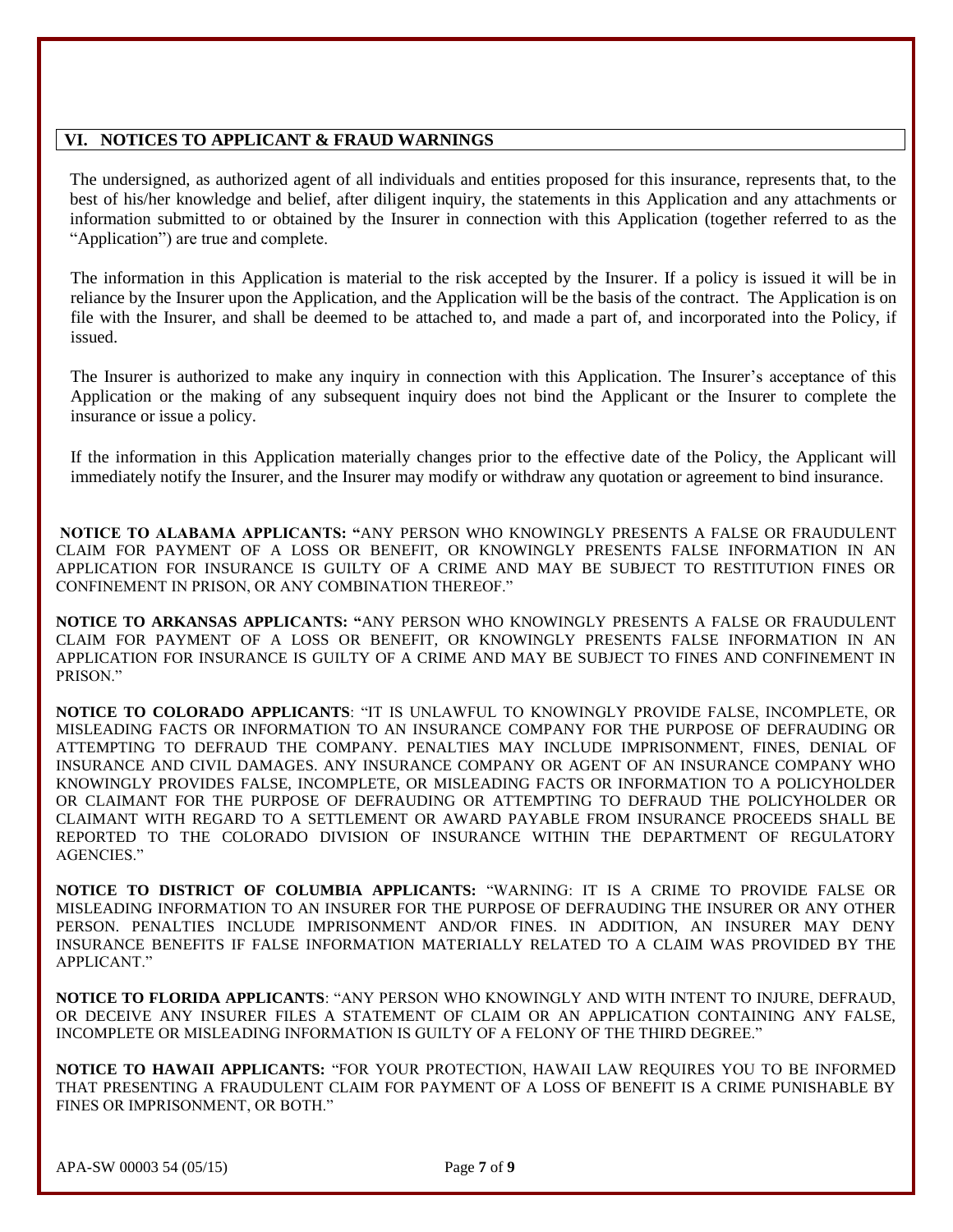#### **VI. NOTICES TO APPLICANT & FRAUD WARNINGS**

The undersigned, as authorized agent of all individuals and entities proposed for this insurance, represents that, to the best of his/her knowledge and belief, after diligent inquiry, the statements in this Application and any attachments or information submitted to or obtained by the Insurer in connection with this Application (together referred to as the "Application") are true and complete.

The information in this Application is material to the risk accepted by the Insurer. If a policy is issued it will be in reliance by the Insurer upon the Application, and the Application will be the basis of the contract. The Application is on file with the Insurer, and shall be deemed to be attached to, and made a part of, and incorporated into the Policy, if issued.

The Insurer is authorized to make any inquiry in connection with this Application. The Insurer's acceptance of this Application or the making of any subsequent inquiry does not bind the Applicant or the Insurer to complete the insurance or issue a policy.

If the information in this Application materially changes prior to the effective date of the Policy, the Applicant will immediately notify the Insurer, and the Insurer may modify or withdraw any quotation or agreement to bind insurance.

**NOTICE TO ALABAMA APPLICANTS: "**ANY PERSON WHO KNOWINGLY PRESENTS A FALSE OR FRAUDULENT CLAIM FOR PAYMENT OF A LOSS OR BENEFIT, OR KNOWINGLY PRESENTS FALSE INFORMATION IN AN APPLICATION FOR INSURANCE IS GUILTY OF A CRIME AND MAY BE SUBJECT TO RESTITUTION FINES OR CONFINEMENT IN PRISON, OR ANY COMBINATION THEREOF."

**NOTICE TO ARKANSAS APPLICANTS: "**ANY PERSON WHO KNOWINGLY PRESENTS A FALSE OR FRAUDULENT CLAIM FOR PAYMENT OF A LOSS OR BENEFIT, OR KNOWINGLY PRESENTS FALSE INFORMATION IN AN APPLICATION FOR INSURANCE IS GUILTY OF A CRIME AND MAY BE SUBJECT TO FINES AND CONFINEMENT IN PRISON."

**NOTICE TO COLORADO APPLICANTS**: "IT IS UNLAWFUL TO KNOWINGLY PROVIDE FALSE, INCOMPLETE, OR MISLEADING FACTS OR INFORMATION TO AN INSURANCE COMPANY FOR THE PURPOSE OF DEFRAUDING OR ATTEMPTING TO DEFRAUD THE COMPANY. PENALTIES MAY INCLUDE IMPRISONMENT, FINES, DENIAL OF INSURANCE AND CIVIL DAMAGES. ANY INSURANCE COMPANY OR AGENT OF AN INSURANCE COMPANY WHO KNOWINGLY PROVIDES FALSE, INCOMPLETE, OR MISLEADING FACTS OR INFORMATION TO A POLICYHOLDER OR CLAIMANT FOR THE PURPOSE OF DEFRAUDING OR ATTEMPTING TO DEFRAUD THE POLICYHOLDER OR CLAIMANT WITH REGARD TO A SETTLEMENT OR AWARD PAYABLE FROM INSURANCE PROCEEDS SHALL BE REPORTED TO THE COLORADO DIVISION OF INSURANCE WITHIN THE DEPARTMENT OF REGULATORY AGENCIES."

**NOTICE TO DISTRICT OF COLUMBIA APPLICANTS:** "WARNING: IT IS A CRIME TO PROVIDE FALSE OR MISLEADING INFORMATION TO AN INSURER FOR THE PURPOSE OF DEFRAUDING THE INSURER OR ANY OTHER PERSON. PENALTIES INCLUDE IMPRISONMENT AND/OR FINES. IN ADDITION, AN INSURER MAY DENY INSURANCE BENEFITS IF FALSE INFORMATION MATERIALLY RELATED TO A CLAIM WAS PROVIDED BY THE APPLICANT"

**NOTICE TO FLORIDA APPLICANTS**: "ANY PERSON WHO KNOWINGLY AND WITH INTENT TO INJURE, DEFRAUD, OR DECEIVE ANY INSURER FILES A STATEMENT OF CLAIM OR AN APPLICATION CONTAINING ANY FALSE, INCOMPLETE OR MISLEADING INFORMATION IS GUILTY OF A FELONY OF THE THIRD DEGREE."

**NOTICE TO HAWAII APPLICANTS:** "FOR YOUR PROTECTION, HAWAII LAW REQUIRES YOU TO BE INFORMED THAT PRESENTING A FRAUDULENT CLAIM FOR PAYMENT OF A LOSS OF BENEFIT IS A CRIME PUNISHABLE BY FINES OR IMPRISONMENT, OR BOTH."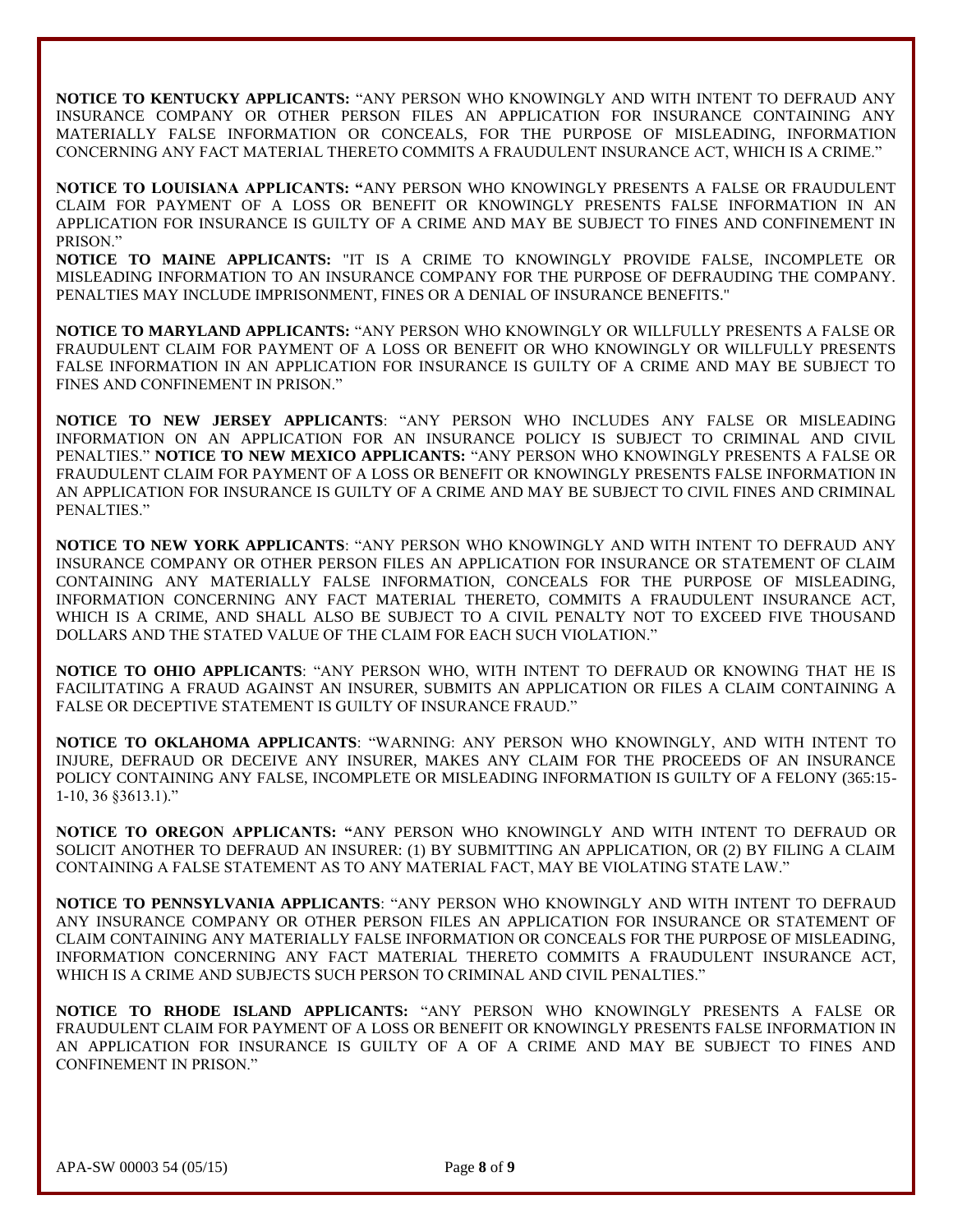**NOTICE TO KENTUCKY APPLICANTS:** "ANY PERSON WHO KNOWINGLY AND WITH INTENT TO DEFRAUD ANY INSURANCE COMPANY OR OTHER PERSON FILES AN APPLICATION FOR INSURANCE CONTAINING ANY MATERIALLY FALSE INFORMATION OR CONCEALS, FOR THE PURPOSE OF MISLEADING, INFORMATION CONCERNING ANY FACT MATERIAL THERETO COMMITS A FRAUDULENT INSURANCE ACT, WHICH IS A CRIME."

**NOTICE TO LOUISIANA APPLICANTS: "**ANY PERSON WHO KNOWINGLY PRESENTS A FALSE OR FRAUDULENT CLAIM FOR PAYMENT OF A LOSS OR BENEFIT OR KNOWINGLY PRESENTS FALSE INFORMATION IN AN APPLICATION FOR INSURANCE IS GUILTY OF A CRIME AND MAY BE SUBJECT TO FINES AND CONFINEMENT IN PRISON."

**NOTICE TO MAINE APPLICANTS:** "IT IS A CRIME TO KNOWINGLY PROVIDE FALSE, INCOMPLETE OR MISLEADING INFORMATION TO AN INSURANCE COMPANY FOR THE PURPOSE OF DEFRAUDING THE COMPANY. PENALTIES MAY INCLUDE IMPRISONMENT, FINES OR A DENIAL OF INSURANCE BENEFITS."

**NOTICE TO MARYLAND APPLICANTS:** "ANY PERSON WHO KNOWINGLY OR WILLFULLY PRESENTS A FALSE OR FRAUDULENT CLAIM FOR PAYMENT OF A LOSS OR BENEFIT OR WHO KNOWINGLY OR WILLFULLY PRESENTS FALSE INFORMATION IN AN APPLICATION FOR INSURANCE IS GUILTY OF A CRIME AND MAY BE SUBJECT TO FINES AND CONFINEMENT IN PRISON."

**NOTICE TO NEW JERSEY APPLICANTS**: "ANY PERSON WHO INCLUDES ANY FALSE OR MISLEADING INFORMATION ON AN APPLICATION FOR AN INSURANCE POLICY IS SUBJECT TO CRIMINAL AND CIVIL PENALTIES." **NOTICE TO NEW MEXICO APPLICANTS:** "ANY PERSON WHO KNOWINGLY PRESENTS A FALSE OR FRAUDULENT CLAIM FOR PAYMENT OF A LOSS OR BENEFIT OR KNOWINGLY PRESENTS FALSE INFORMATION IN AN APPLICATION FOR INSURANCE IS GUILTY OF A CRIME AND MAY BE SUBJECT TO CIVIL FINES AND CRIMINAL PENALTIES."

**NOTICE TO NEW YORK APPLICANTS**: "ANY PERSON WHO KNOWINGLY AND WITH INTENT TO DEFRAUD ANY INSURANCE COMPANY OR OTHER PERSON FILES AN APPLICATION FOR INSURANCE OR STATEMENT OF CLAIM CONTAINING ANY MATERIALLY FALSE INFORMATION, CONCEALS FOR THE PURPOSE OF MISLEADING, INFORMATION CONCERNING ANY FACT MATERIAL THERETO, COMMITS A FRAUDULENT INSURANCE ACT, WHICH IS A CRIME, AND SHALL ALSO BE SUBJECT TO A CIVIL PENALTY NOT TO EXCEED FIVE THOUSAND DOLLARS AND THE STATED VALUE OF THE CLAIM FOR EACH SUCH VIOLATION."

**NOTICE TO OHIO APPLICANTS**: "ANY PERSON WHO, WITH INTENT TO DEFRAUD OR KNOWING THAT HE IS FACILITATING A FRAUD AGAINST AN INSURER, SUBMITS AN APPLICATION OR FILES A CLAIM CONTAINING A FALSE OR DECEPTIVE STATEMENT IS GUILTY OF INSURANCE FRAUD."

**NOTICE TO OKLAHOMA APPLICANTS**: "WARNING: ANY PERSON WHO KNOWINGLY, AND WITH INTENT TO INJURE, DEFRAUD OR DECEIVE ANY INSURER, MAKES ANY CLAIM FOR THE PROCEEDS OF AN INSURANCE POLICY CONTAINING ANY FALSE, INCOMPLETE OR MISLEADING INFORMATION IS GUILTY OF A FELONY (365:15- 1-10, 36 §3613.1)."

**NOTICE TO OREGON APPLICANTS: "**ANY PERSON WHO KNOWINGLY AND WITH INTENT TO DEFRAUD OR SOLICIT ANOTHER TO DEFRAUD AN INSURER: (1) BY SUBMITTING AN APPLICATION, OR (2) BY FILING A CLAIM CONTAINING A FALSE STATEMENT AS TO ANY MATERIAL FACT, MAY BE VIOLATING STATE LAW."

**NOTICE TO PENNSYLVANIA APPLICANTS**: "ANY PERSON WHO KNOWINGLY AND WITH INTENT TO DEFRAUD ANY INSURANCE COMPANY OR OTHER PERSON FILES AN APPLICATION FOR INSURANCE OR STATEMENT OF CLAIM CONTAINING ANY MATERIALLY FALSE INFORMATION OR CONCEALS FOR THE PURPOSE OF MISLEADING, INFORMATION CONCERNING ANY FACT MATERIAL THERETO COMMITS A FRAUDULENT INSURANCE ACT, WHICH IS A CRIME AND SUBJECTS SUCH PERSON TO CRIMINAL AND CIVIL PENALTIES."

**NOTICE TO RHODE ISLAND APPLICANTS:** "ANY PERSON WHO KNOWINGLY PRESENTS A FALSE OR FRAUDULENT CLAIM FOR PAYMENT OF A LOSS OR BENEFIT OR KNOWINGLY PRESENTS FALSE INFORMATION IN AN APPLICATION FOR INSURANCE IS GUILTY OF A OF A CRIME AND MAY BE SUBJECT TO FINES AND CONFINEMENT IN PRISON."